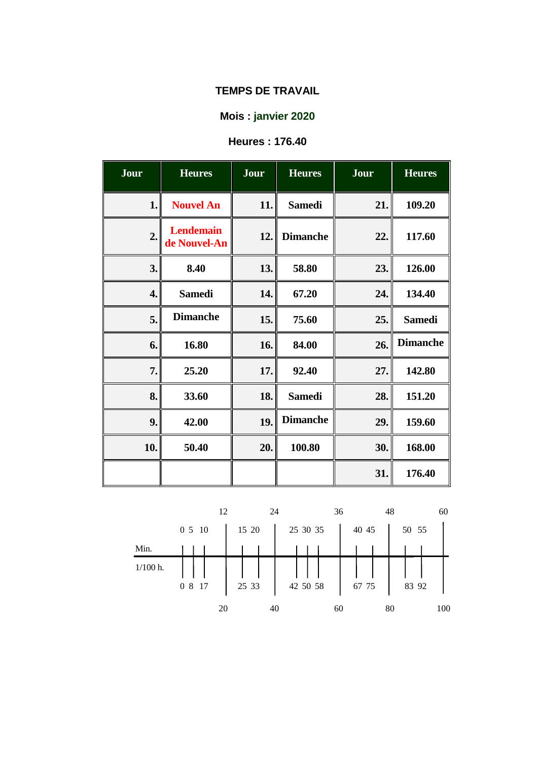# **Mois : janvier 2020**

# **Heures : 176.40**

| Jour | <b>Heures</b>                    | Jour | <b>Heures</b>   | Jour | <b>Heures</b>   |
|------|----------------------------------|------|-----------------|------|-----------------|
| 1.   | <b>Nouvel An</b>                 | 11.  | <b>Samedi</b>   | 21.  | 109.20          |
| 2.   | <b>Lendemain</b><br>de Nouvel-An | 12.  | <b>Dimanche</b> | 22.  | 117.60          |
| 3.   | 8.40                             | 13.  | 58.80           | 23.  | 126.00          |
| 4.   | <b>Samedi</b>                    | 14.  | 67.20           | 24.  | 134.40          |
| 5.   | <b>Dimanche</b>                  | 15.  | 75.60           | 25.  | <b>Samedi</b>   |
| 6.   | 16.80                            | 16.  | 84.00           | 26.  | <b>Dimanche</b> |
| 7.   | 25.20                            | 17.  | 92.40           | 27.  | 142.80          |
| 8.   | 33.60                            | 18.  | <b>Samedi</b>   | 28.  | 151.20          |
| 9.   | 42.00                            | 19.  | <b>Dimanche</b> | 29.  | 159.60          |
| 10.  | 50.40                            | 20.  | 100.80          | 30.  | 168.00          |
|      |                                  |      |                 | 31.  | 176.40          |

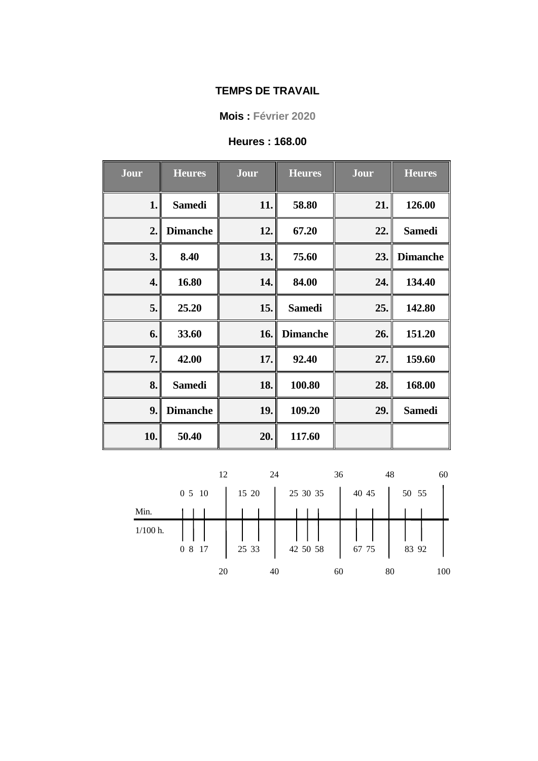**Mois : Février 2020**

### **Heures : 168.00**

| Jour | <b>Heures</b>   | Jour | <b>Heures</b>   | Jour | <b>Heures</b>   |
|------|-----------------|------|-----------------|------|-----------------|
| 1.   | <b>Samedi</b>   | 11.  | 58.80           | 21.  | 126.00          |
| 2.   | <b>Dimanche</b> | 12.  | 67.20           | 22.  | <b>Samedi</b>   |
| 3.   | 8.40            | 13.  | 75.60           | 23.  | <b>Dimanche</b> |
| 4.   | 16.80           | 14.  | 84.00           | 24.  | 134.40          |
| 5.   | 25.20           | 15.  | <b>Samedi</b>   | 25.  | 142.80          |
| 6.   | 33.60           | 16.  | <b>Dimanche</b> | 26.  | 151.20          |
| 7.   | 42.00           | 17.  | 92.40           | 27.  | 159.60          |
| 8.   | <b>Samedi</b>   | 18.  | 100.80          | 28.  | 168.00          |
| 9.   | <b>Dimanche</b> | 19.  | 109.20          | 29.  | <b>Samedi</b>   |
| 10.  | 50.40           | 20.  | 117.60          |      |                 |

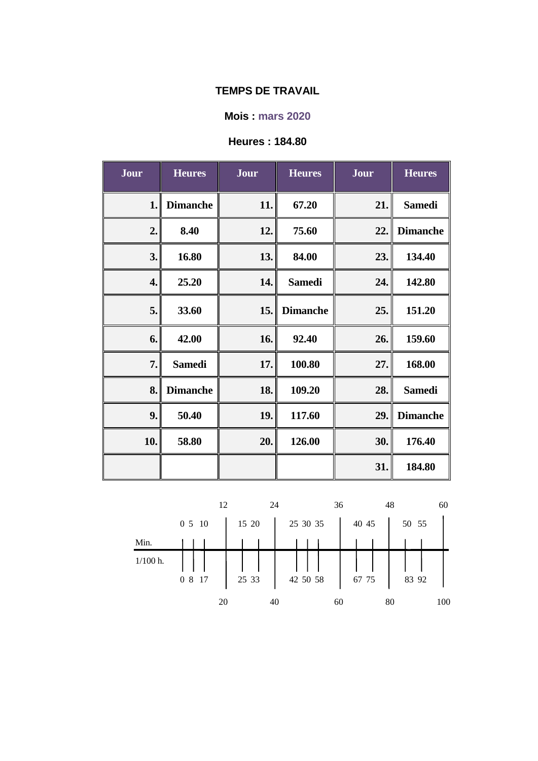## **Mois : mars 2020**

# **Heures : 184.80**

| Jour | <b>Heures</b>   | Jour | <b>Heures</b>   | Jour | <b>Heures</b>   |
|------|-----------------|------|-----------------|------|-----------------|
| 1.   | <b>Dimanche</b> | 11.  | 67.20           | 21.  | <b>Samedi</b>   |
| 2.   | 8.40            | 12.  | 75.60           | 22.  | <b>Dimanche</b> |
| 3.   | 16.80           | 13.  | 84.00           | 23.  | 134.40          |
| 4.   | 25.20           | 14.  | <b>Samedi</b>   | 24.  | 142.80          |
| 5.   | 33.60           | 15.  | <b>Dimanche</b> | 25.  | 151.20          |
| 6.   | 42.00           | 16.  | 92.40           | 26.  | 159.60          |
| 7.   | <b>Samedi</b>   | 17.  | 100.80          | 27.  | 168.00          |
| 8.   | <b>Dimanche</b> | 18.  | 109.20          | 28.  | <b>Samedi</b>   |
| 9.   | 50.40           | 19.  | 117.60          | 29.  | <b>Dimanche</b> |
| 10.  | 58.80           | 20.  | 126.00          | 30.  | 176.40          |
|      |                 |      |                 | 31.  | 184.80          |

|            | 12     | 24    |          | 36    | 48<br>60  |
|------------|--------|-------|----------|-------|-----------|
|            | 0510   | 15 20 | 25 30 35 | 40 45 | 50 55     |
| Min.       |        |       |          |       |           |
| $1/100$ h. | 0 8 17 | 25 33 | 42 50 58 | 67 75 | 83 92     |
|            |        |       |          |       |           |
|            | 20     | 40    |          | 60    | 100<br>80 |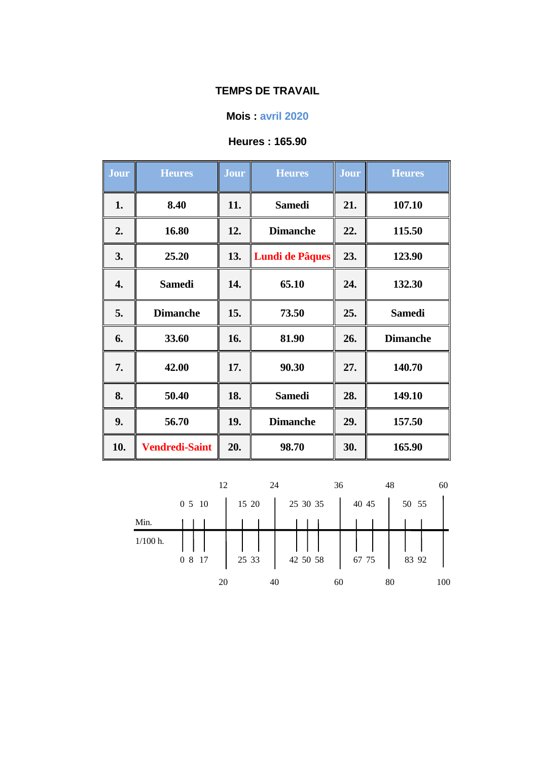### **Mois : avril 2020**

## **Heures : 165.90**

| Jour | <b>Heures</b>         | Jour | <b>Heures</b>          | Jour | <b>Heures</b>   |
|------|-----------------------|------|------------------------|------|-----------------|
| 1.   | 8.40                  | 11.  | <b>Samedi</b>          | 21.  | 107.10          |
| 2.   | 16.80                 | 12.  | <b>Dimanche</b>        | 22.  | 115.50          |
| 3.   | 25.20                 | 13.  | <b>Lundi de Pâques</b> | 23.  | 123.90          |
| 4.   | <b>Samedi</b>         | 14.  | 65.10                  | 24.  | 132.30          |
| 5.   | <b>Dimanche</b>       | 15.  | 73.50                  | 25.  | <b>Samedi</b>   |
| 6.   | 33.60                 | 16.  | 81.90                  | 26.  | <b>Dimanche</b> |
| 7.   | 42.00                 | 17.  | 90.30                  | 27.  | 140.70          |
| 8.   | 50.40                 | 18.  | <b>Samedi</b>          | 28.  | 149.10          |
| 9.   | 56.70                 | 19.  | <b>Dimanche</b>        | 29.  | 157.50          |
| 10.  | <b>Vendredi-Saint</b> | 20.  | 98.70                  | 30.  | 165.90          |

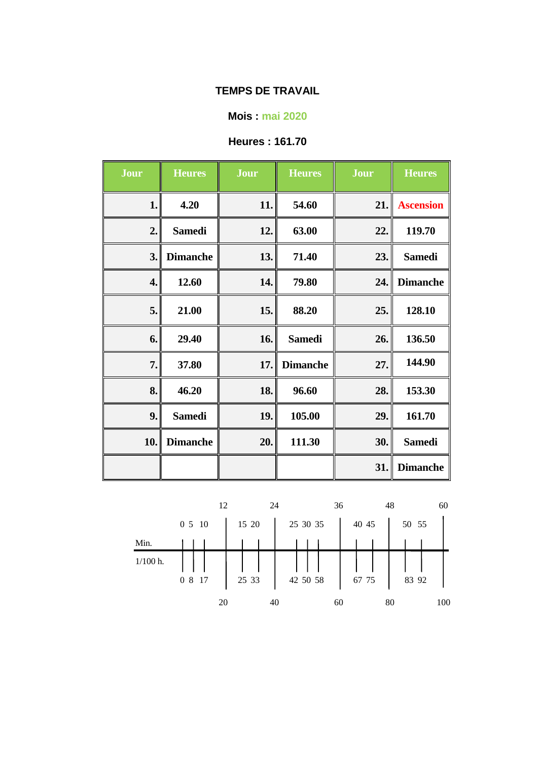### **Mois : mai 2020**

# **Heures : 161.70**

| Jour | <b>Heures</b>   | Jour | <b>Heures</b>   | Jour | <b>Heures</b>    |
|------|-----------------|------|-----------------|------|------------------|
| 1.   | 4.20            | 11.  | 54.60           | 21.  | <b>Ascension</b> |
| 2.   | <b>Samedi</b>   | 12.  | 63.00           | 22.  | 119.70           |
| 3.   | <b>Dimanche</b> | 13.  | 71.40           | 23.  | <b>Samedi</b>    |
| 4.   | 12.60           | 14.  | 79.80           | 24.  | <b>Dimanche</b>  |
| 5.   | 21.00           | 15.  | 88.20           | 25.  | 128.10           |
| 6.   | 29.40           | 16.  | <b>Samedi</b>   | 26.  | 136.50           |
| 7.   | 37.80           | 17.  | <b>Dimanche</b> | 27.  | 144.90           |
| 8.   | 46.20           | 18.  | 96.60           | 28.  | 153.30           |
| 9.   | <b>Samedi</b>   | 19.  | 105.00          | 29.  | 161.70           |
| 10.  | <b>Dimanche</b> | 20.  | 111.30          | 30.  | <b>Samedi</b>    |
|      |                 |      |                 | 31.  | <b>Dimanche</b>  |

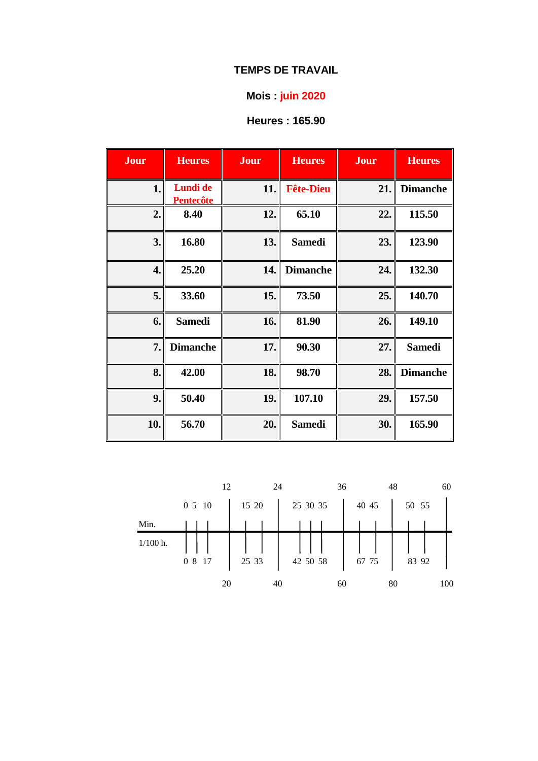# **Mois : juin 2020**

# **Heures : 165.90**

| Jour | <b>Heures</b>                | Jour | <b>Heures</b>    | Jour | <b>Heures</b>   |
|------|------------------------------|------|------------------|------|-----------------|
| 1.   | Lundi de<br><b>Pentecôte</b> | 11.  | <b>Fête-Dieu</b> | 21.  | <b>Dimanche</b> |
| 2.   | 8.40                         | 12.  | 65.10            | 22.  | 115.50          |
| 3.   | 16.80                        | 13.  | <b>Samedi</b>    | 23.  | 123.90          |
| 4.   | 25.20                        | 14.  | <b>Dimanche</b>  | 24.  | 132.30          |
| 5.   | 33.60                        | 15.  | 73.50            | 25.  | 140.70          |
| 6.   | <b>Samedi</b>                | 16.  | 81.90            | 26.  | 149.10          |
| 7.   | <b>Dimanche</b>              | 17.  | 90.30            | 27.  | <b>Samedi</b>   |
| 8.   | 42.00                        | 18.  | 98.70            | 28.  | <b>Dimanche</b> |
| 9.   | 50.40                        | 19.  | 107.10           | 29.  | 157.50          |
| 10.  | 56.70                        | 20.  | <b>Samedi</b>    | 30.  | 165.90          |

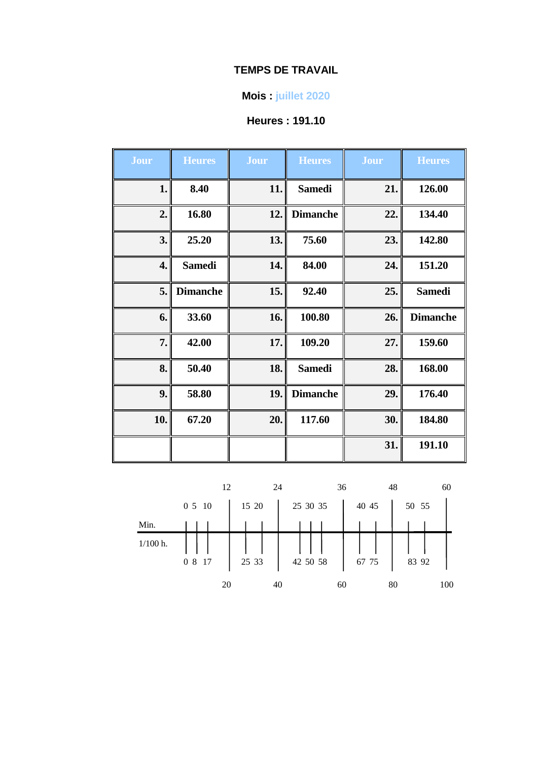## **Mois : juillet 2020**

# **Heures : 191.10**

| Jour | <b>Heures</b>   | Jour | <b>Heures</b>   | Jour | <b>Heures</b>   |
|------|-----------------|------|-----------------|------|-----------------|
| 1.   | 8.40            | 11.  | <b>Samedi</b>   | 21.  | 126.00          |
| 2.   | 16.80           | 12.  | <b>Dimanche</b> | 22.  | 134.40          |
| 3.   | 25.20           | 13.  | 75.60           | 23.  | 142.80          |
| 4.   | <b>Samedi</b>   | 14.  | 84.00           | 24.  | 151.20          |
| 5.   | <b>Dimanche</b> | 15.  | 92.40           | 25.  | <b>Samedi</b>   |
| 6.   | 33.60           | 16.  | 100.80          | 26.  | <b>Dimanche</b> |
| 7.   | 42.00           | 17.  | 109.20          | 27.  | 159.60          |
| 8.   | 50.40           | 18.  | <b>Samedi</b>   | 28.  | 168.00          |
| 9.   | 58.80           | 19.  | <b>Dimanche</b> | 29.  | 176.40          |
| 10.  | 67.20           | 20.  | 117.60          | 30.  | 184.80          |
|      |                 |      |                 | 31.  | 191.10          |

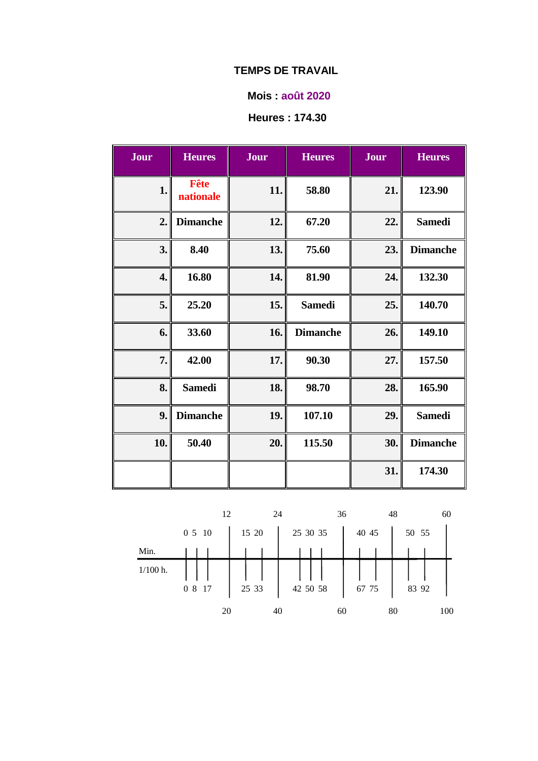### **Mois : août 2020**

## **Heures : 174.30**

| <b>Jour</b> | <b>Heures</b>     | <b>Jour</b> | <b>Heures</b>   | Jour | <b>Heures</b>   |
|-------------|-------------------|-------------|-----------------|------|-----------------|
| 1.          | Fête<br>nationale | 11.         | 58.80           | 21.  | 123.90          |
| 2.          | <b>Dimanche</b>   | 12.         | 67.20           | 22.  | <b>Samedi</b>   |
| 3.          | 8.40              | 13.         | 75.60           | 23.  | <b>Dimanche</b> |
| 4.          | 16.80             | 14.         | 81.90           | 24.  | 132.30          |
| 5.          | 25.20             | 15.         | <b>Samedi</b>   | 25.  | 140.70          |
| 6.          | 33.60             | 16.         | <b>Dimanche</b> | 26.  | 149.10          |
| 7.          | 42.00             | 17.         | 90.30           | 27.  | 157.50          |
| 8.          | <b>Samedi</b>     | 18.         | 98.70           | 28.  | 165.90          |
| 9.          | <b>Dimanche</b>   | 19.         | 107.10          | 29.  | <b>Samedi</b>   |
| 10.         | 50.40             | 20.         | 115.50          | 30.  | <b>Dimanche</b> |
|             |                   |             |                 | 31.  | 174.30          |

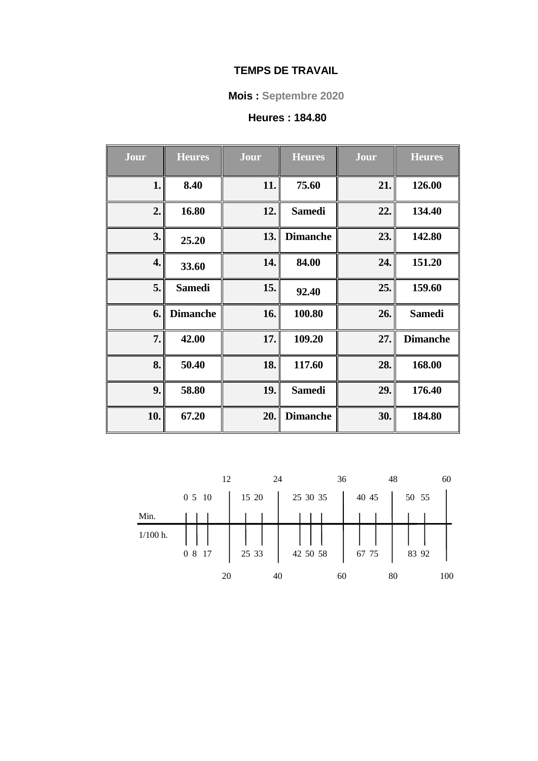## **Mois : Septembre 2020**

# **Heures : 184.80**

| Jour | <b>Heures</b>   | Jour | <b>Heures</b>   | Jour | <b>Heures</b>   |
|------|-----------------|------|-----------------|------|-----------------|
| 1.   | 8.40            | 11.  | 75.60           | 21.  | 126.00          |
| 2.   | 16.80           | 12.  | <b>Samedi</b>   | 22.  | 134.40          |
| 3.   | 25.20           | 13.  | <b>Dimanche</b> | 23.  | 142.80          |
| 4.   | 33.60           | 14.  | 84.00           | 24.  | 151.20          |
| 5.   | <b>Samedi</b>   | 15.  | 92.40           | 25.  | 159.60          |
| 6.   | <b>Dimanche</b> | 16.  | 100.80          | 26.  | <b>Samedi</b>   |
| 7.   | 42.00           | 17.  | 109.20          | 27.  | <b>Dimanche</b> |
| 8.   | 50.40           | 18.  | 117.60          | 28.  | 168.00          |
| 9.   | 58.80           | 19.  | <b>Samedi</b>   | 29.  | 176.40          |
| 10.  | 67.20           | 20.  | <b>Dimanche</b> | 30.  | 184.80          |

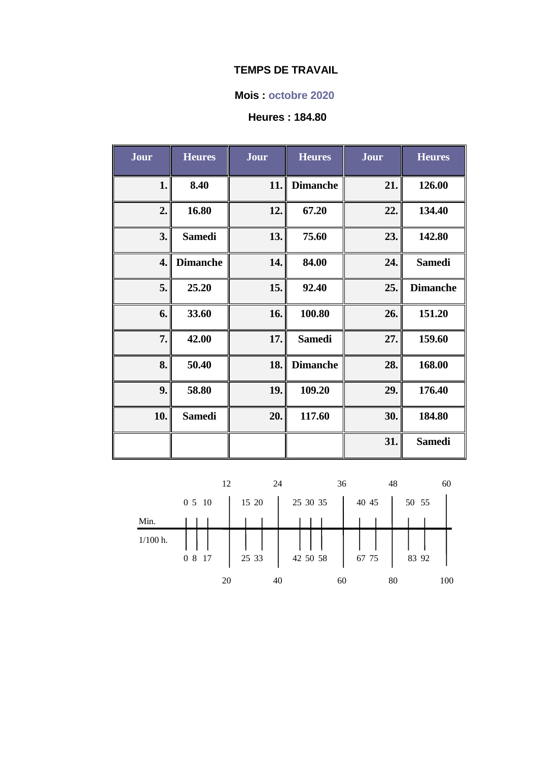### **Mois : octobre 2020**

# **Heures : 184.80**

| Jour | <b>Heures</b>   | Jour | <b>Heures</b>   | Jour | <b>Heures</b>   |
|------|-----------------|------|-----------------|------|-----------------|
| 1.   | 8.40            | 11.  | <b>Dimanche</b> | 21.  | 126.00          |
| 2.   | 16.80           | 12.  | 67.20           | 22.  | 134.40          |
| 3.   | <b>Samedi</b>   | 13.  | 75.60           | 23.  | 142.80          |
| 4.   | <b>Dimanche</b> | 14.  | 84.00           | 24.  | <b>Samedi</b>   |
| 5.   | 25.20           | 15.  | 92.40           | 25.  | <b>Dimanche</b> |
| 6.   | 33.60           | 16.  | 100.80          | 26.  | 151.20          |
| 7.   | 42.00           | 17.  | <b>Samedi</b>   | 27.  | 159.60          |
| 8.   | 50.40           | 18.  | <b>Dimanche</b> | 28.  | 168.00          |
| 9.   | 58.80           | 19.  | 109.20          | 29.  | 176.40          |
| 10.  | <b>Samedi</b>   | 20.  | 117.60          | 30.  | 184.80          |
|      |                 |      |                 | 31.  | <b>Samedi</b>   |

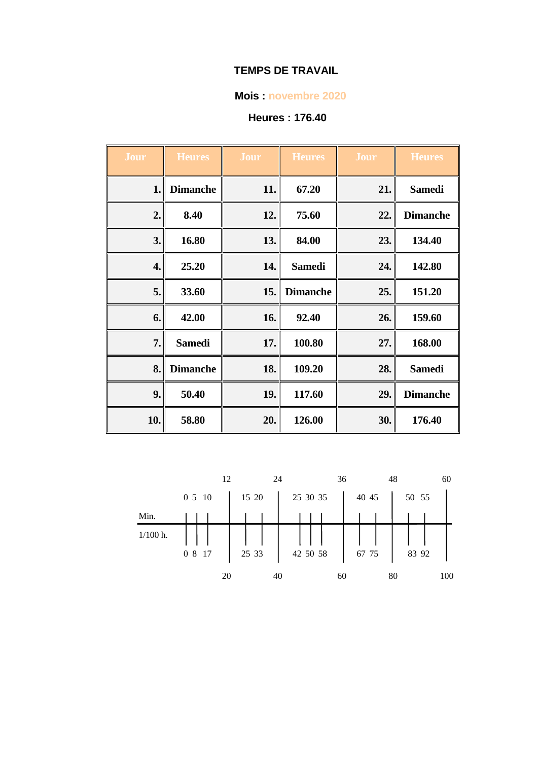### **Mois : novembre 2020**

# **Heures : 176.40**

| Jour | <b>Heures</b>   | Jour | <b>Heures</b>   | Jour | <b>Heures</b>   |
|------|-----------------|------|-----------------|------|-----------------|
| 1.   | <b>Dimanche</b> | 11.  | 67.20           | 21.  | <b>Samedi</b>   |
| 2.   | 8.40            | 12.  | 75.60           | 22.  | <b>Dimanche</b> |
| 3.   | 16.80           | 13.  | 84.00           | 23.  | 134.40          |
| 4.   | 25.20           | 14.  | <b>Samedi</b>   | 24.  | 142.80          |
| 5.   | 33.60           | 15.  | <b>Dimanche</b> | 25.  | 151.20          |
| 6.   | 42.00           | 16.  | 92.40           | 26.  | 159.60          |
| 7.   | <b>Samedi</b>   | 17.  | 100.80          | 27.  | 168.00          |
| 8.   | <b>Dimanche</b> | 18.  | 109.20          | 28.  | <b>Samedi</b>   |
| 9.   | 50.40           | 19.  | 117.60          | 29.  | <b>Dimanche</b> |
| 10.  | 58.80           | 20.  | 126.00          | 30.  | 176.40          |